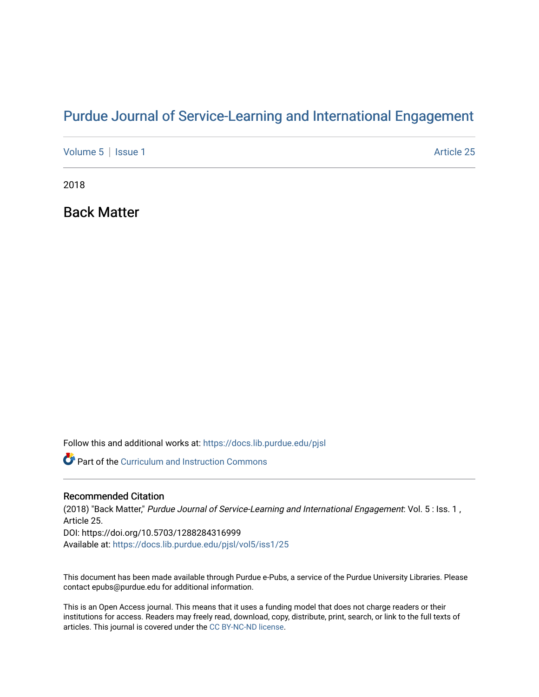## [Purdue Journal of Service-Learning and International Engagement](https://docs.lib.purdue.edu/pjsl)

[Volume 5](https://docs.lib.purdue.edu/pjsl/vol5) | [Issue 1](https://docs.lib.purdue.edu/pjsl/vol5/iss1) Article 25

2018

Back Matter

Follow this and additional works at: [https://docs.lib.purdue.edu/pjsl](https://docs.lib.purdue.edu/pjsl?utm_source=docs.lib.purdue.edu%2Fpjsl%2Fvol5%2Fiss1%2F25&utm_medium=PDF&utm_campaign=PDFCoverPages)

Part of the [Curriculum and Instruction Commons](http://network.bepress.com/hgg/discipline/786?utm_source=docs.lib.purdue.edu%2Fpjsl%2Fvol5%2Fiss1%2F25&utm_medium=PDF&utm_campaign=PDFCoverPages) 

### Recommended Citation

(2018) "Back Matter," Purdue Journal of Service-Learning and International Engagement: Vol. 5 : Iss. 1 , Article 25. DOI: https://doi.org/10.5703/1288284316999 Available at: [https://docs.lib.purdue.edu/pjsl/vol5/iss1/25](https://docs.lib.purdue.edu/pjsl/vol5/iss1/25?utm_source=docs.lib.purdue.edu%2Fpjsl%2Fvol5%2Fiss1%2F25&utm_medium=PDF&utm_campaign=PDFCoverPages)

This document has been made available through Purdue e-Pubs, a service of the Purdue University Libraries. Please contact epubs@purdue.edu for additional information.

This is an Open Access journal. This means that it uses a funding model that does not charge readers or their institutions for access. Readers may freely read, download, copy, distribute, print, search, or link to the full texts of articles. This journal is covered under the [CC BY-NC-ND license](https://creativecommons.org/licenses/by-nc-nd/4.0/).